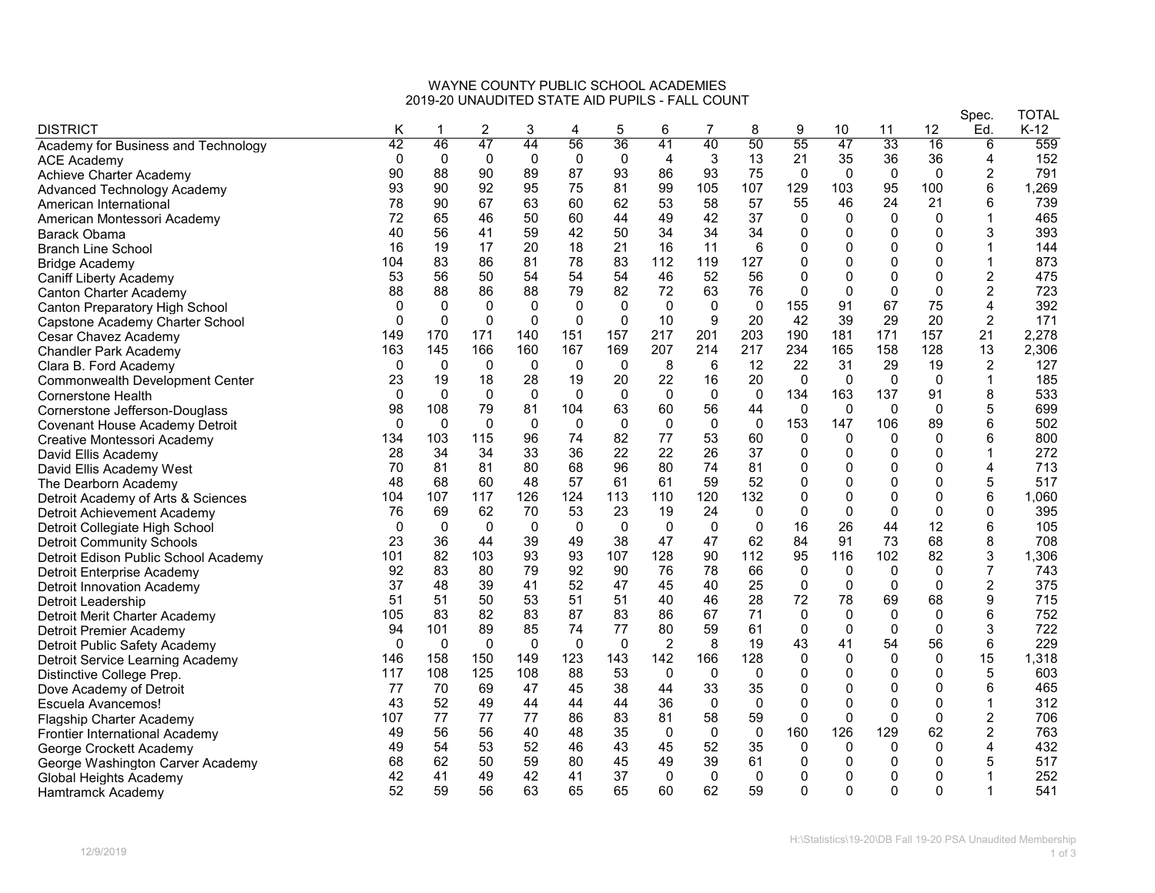## WAYNE COUNTY PUBLIC SCHOOL ACADEMIES 2019-20 UNAUDITED STATE AID PUPILS - FALL COUNT

|                                        | $517.11 \pm 7.01$ |              |                |              |              |              |                |             |              |              |              |              | Spec.        | <b>TOTAL</b>   |       |
|----------------------------------------|-------------------|--------------|----------------|--------------|--------------|--------------|----------------|-------------|--------------|--------------|--------------|--------------|--------------|----------------|-------|
| <b>DISTRICT</b>                        | Κ                 | 1            | $\overline{2}$ | 3            | 4            | 5            | 6              | 7           | 8            | 9            | 10           | 11           | 12           | Ed.            | K-12  |
| Academy for Business and Technology    | 42                | 46           | 47             | 44           | 56           | 36           | 41             | 40          | 50           | 55           | 47           | 33           | 16           | 6              | 559   |
| <b>ACE Academy</b>                     | $\Omega$          | $\mathbf 0$  | $\mathbf{0}$   | $\Omega$     | $\mathbf{0}$ | 0            | 4              | 3           | 13           | 21           | 35           | 36           | 36           | 4              | 152   |
| Achieve Charter Academy                | 90                | 88           | 90             | 89           | 87           | 93           | 86             | 93          | 75           | $\Omega$     | 0            | 0            | 0            | 2              | 791   |
| Advanced Technology Academy            | 93                | 90           | 92             | 95           | 75           | 81           | 99             | 105         | 107          | 129          | 103          | 95           | 100          | 6              | 1,269 |
| American International                 | 78                | 90           | 67             | 63           | 60           | 62           | 53             | 58          | 57           | 55           | 46           | 24           | 21           | 6              | 739   |
| American Montessori Academy            | 72                | 65           | 46             | 50           | 60           | 44           | 49             | 42          | 37           | $\Omega$     | $\Omega$     | $\mathbf 0$  | $\mathbf 0$  | $\mathbf{1}$   | 465   |
| Barack Obama                           | 40                | 56           | 41             | 59           | 42           | 50           | 34             | 34          | 34           | $\mathbf{0}$ | $\Omega$     | $\mathbf 0$  | $\Omega$     | 3              | 393   |
| <b>Branch Line School</b>              | 16                | 19           | 17             | 20           | 18           | 21           | 16             | 11          | 6            | $\mathbf{0}$ | 0            | 0            | 0            | 1              | 144   |
| <b>Bridge Academy</b>                  | 104               | 83           | 86             | 81           | 78           | 83           | 112            | 119         | 127          | $\mathbf{0}$ | 0            | $\mathbf 0$  | 0            | $\mathbf{1}$   | 873   |
| <b>Caniff Liberty Academy</b>          | 53                | 56           | 50             | 54           | 54           | 54           | 46             | 52          | 56           | $\mathbf{0}$ | 0            | $\mathbf 0$  | $\mathbf 0$  | $\overline{2}$ | 475   |
| <b>Canton Charter Academy</b>          | 88                | 88           | 86             | 88           | 79           | 82           | 72             | 63          | 76           | $\mathbf 0$  | $\Omega$     | 0            | $\mathbf 0$  | 2              | 723   |
| <b>Canton Preparatory High School</b>  | $\mathbf 0$       | $\Omega$     | $\Omega$       | $\mathbf 0$  | $\Omega$     | $\mathbf{0}$ | $\mathbf{0}$   | $\Omega$    | $\Omega$     | 155          | 91           | 67           | 75           | 4              | 392   |
| Capstone Academy Charter School        | $\Omega$          | $\Omega$     | 0              | $\Omega$     | $\mathbf{0}$ | $\mathbf{0}$ | 10             | 9           | 20           | 42           | 39           | 29           | 20           | 2              | 171   |
| Cesar Chavez Academy                   | 149               | 170          | 171            | 140          | 151          | 157          | 217            | 201         | 203          | 190          | 181          | 171          | 157          | 21             | 2,278 |
| <b>Chandler Park Academy</b>           | 163               | 145          | 166            | 160          | 167          | 169          | 207            | 214         | 217          | 234          | 165          | 158          | 128          | 13             | 2,306 |
| Clara B. Ford Academy                  | 0                 | $\mathbf 0$  | 0              | 0            | 0            | 0            | 8              | 6           | 12           | 22           | 31           | 29           | 19           | $\overline{c}$ | 127   |
| <b>Commonwealth Development Center</b> | 23                | 19           | 18             | 28           | 19           | 20           | 22             | 16          | 20           | $\Omega$     | $\Omega$     | $\mathbf 0$  | $\mathbf 0$  | $\mathbf 1$    | 185   |
| <b>Cornerstone Health</b>              | $\Omega$          | $\mathbf{0}$ | $\mathbf{0}$   | 0            | $\mathbf{0}$ | 0            | 0              | $\mathbf 0$ | $\mathbf 0$  | 134          | 163          | 137          | 91           | 8              | 533   |
| Cornerstone Jefferson-Douglass         | 98                | 108          | 79             | 81           | 104          | 63           | 60             | 56          | 44           | $\Omega$     | $\mathbf{0}$ | $\Omega$     | $\mathbf{0}$ | 5              | 699   |
| Covenant House Academy Detroit         | 0                 | $\mathbf{0}$ | $\Omega$       | $\mathbf{0}$ | $\mathbf{0}$ | $\mathbf{0}$ | 0              | $\Omega$    | 0            | 153          | 147          | 106          | 89           | 6              | 502   |
|                                        | 134               | 103          | 115            | 96           | 74           | 82           | 77             | 53          | 60           | $\mathbf 0$  | 0            | 0            | $\mathbf 0$  | 6              | 800   |
| Creative Montessori Academy            | 28                | 34           | 34             | 33           | 36           | 22           | 22             | 26          | 37           | $\mathbf{0}$ | $\Omega$     | $\mathbf 0$  | 0            | $\mathbf 1$    | 272   |
| David Ellis Academy                    | 70                | 81           | 81             | 80           | 68           | 96           | 80             | 74          | 81           | 0            | 0            | $\mathbf 0$  | 0            | 4              | 713   |
| David Ellis Academy West               | 48                | 68           | 60             | 48           | 57           | 61           | 61             | 59          | 52           | $\mathbf{0}$ | 0            | $\mathbf{0}$ | 0            | 5              | 517   |
| The Dearborn Academy                   |                   |              |                |              |              |              |                |             |              | $\mathbf{0}$ | $\Omega$     | $\Omega$     | $\Omega$     | 6              |       |
| Detroit Academy of Arts & Sciences     | 104               | 107          | 117            | 126          | 124          | 113          | 110            | 120         | 132          |              |              |              |              |                | 1,060 |
| Detroit Achievement Academy            | 76                | 69           | 62             | 70           | 53           | 23           | 19             | 24          | $\mathbf{0}$ | 0            | 0            | $\mathbf 0$  | $\mathbf 0$  | 0              | 395   |
| Detroit Collegiate High School         | $\Omega$          | $\mathbf 0$  | $\mathbf{0}$   | $\mathbf{0}$ | $\mathbf{0}$ | $\Omega$     | $\Omega$       | $\Omega$    | $\Omega$     | 16           | 26           | 44           | 12           | 6              | 105   |
| <b>Detroit Community Schools</b>       | 23                | 36           | 44             | 39           | 49           | 38           | 47             | 47          | 62           | 84           | 91           | 73           | 68           | 8              | 708   |
| Detroit Edison Public School Academy   | 101               | 82           | 103            | 93           | 93           | 107          | 128            | 90          | 112          | 95           | 116          | 102          | 82           | 3              | 1,306 |
| Detroit Enterprise Academy             | 92                | 83           | 80             | 79           | 92           | 90           | 76             | 78          | 66           | $\Omega$     | 0            | 0            | 0            | 7              | 743   |
| <b>Detroit Innovation Academy</b>      | 37                | 48           | 39             | 41           | 52           | 47           | 45             | 40          | 25           | $\mathbf 0$  | $\mathbf 0$  | $\mathbf 0$  | $\mathbf 0$  | $\overline{2}$ | 375   |
| Detroit Leadership                     | 51                | 51           | 50             | 53           | 51           | 51           | 40             | 46          | 28           | 72           | 78           | 69           | 68           | 9              | 715   |
| Detroit Merit Charter Academy          | 105               | 83           | 82             | 83           | 87           | 83           | 86             | 67          | 71           | $\mathbf 0$  | 0            | 0            | $\mathbf 0$  | 6              | 752   |
| Detroit Premier Academy                | 94                | 101          | 89             | 85           | 74           | 77           | 80             | 59          | 61           | $\mathbf{0}$ | $\Omega$     | $\Omega$     | $\Omega$     | 3              | 722   |
| Detroit Public Safety Academy          | $\mathbf 0$       | $\mathbf 0$  | $\mathbf{0}$   | 0            | $\mathbf{0}$ | $\mathbf{0}$ | $\overline{2}$ | 8           | 19           | 43           | 41           | 54           | 56           | 6              | 229   |
| Detroit Service Learning Academy       | 146               | 158          | 150            | 149          | 123          | 143          | 142            | 166         | 128          | $\mathbf 0$  | $\Omega$     | $\mathbf 0$  | $\mathbf 0$  | 15             | 1,318 |
| Distinctive College Prep.              | 117               | 108          | 125            | 108          | 88           | 53           | $\mathbf{0}$   | $\Omega$    | $\Omega$     | $\mathbf{0}$ | 0            | $\Omega$     | $\mathbf 0$  | 5              | 603   |
| Dove Academy of Detroit                | 77                | 70           | 69             | 47           | 45           | 38           | 44             | 33          | 35           | $\mathbf 0$  | 0            | $\mathbf 0$  | 0            | 6              | 465   |
| Escuela Avancemos!                     | 43                | 52           | 49             | 44           | 44           | 44           | 36             | $\Omega$    | $\Omega$     | $\Omega$     | $\Omega$     | $\mathbf{0}$ | $\Omega$     | $\mathbf{1}$   | 312   |
| Flagship Charter Academy               | 107               | 77           | 77             | 77           | 86           | 83           | 81             | 58          | 59           | $\Omega$     | $\Omega$     | $\Omega$     | $\mathbf 0$  | $\overline{2}$ | 706   |
| Frontier International Academy         | 49                | 56           | 56             | 40           | 48           | 35           | 0              | $\mathbf 0$ | $\mathbf 0$  | 160          | 126          | 129          | 62           | $\overline{2}$ | 763   |
| George Crockett Academy                | 49                | 54           | 53             | 52           | 46           | 43           | 45             | 52          | 35           | $\Omega$     | 0            | $\mathbf 0$  | $\Omega$     | 4              | 432   |
| George Washington Carver Academy       | 68                | 62           | 50             | 59           | 80           | 45           | 49             | 39          | 61           | $\mathbf 0$  | 0            | $\mathbf 0$  | 0            | 5              | 517   |
| Global Heights Academy                 | 42                | 41           | 49             | 42           | 41           | 37           | $\mathbf{0}$   | $\Omega$    | $\Omega$     | $\mathbf{0}$ | $\Omega$     | $\Omega$     | 0            | $\mathbf 1$    | 252   |
| Hamtramck Academy                      | 52                | 59           | 56             | 63           | 65           | 65           | 60             | 62          | 59           | $\Omega$     | $\Omega$     | $\Omega$     | 0            | $\mathbf 1$    | 541   |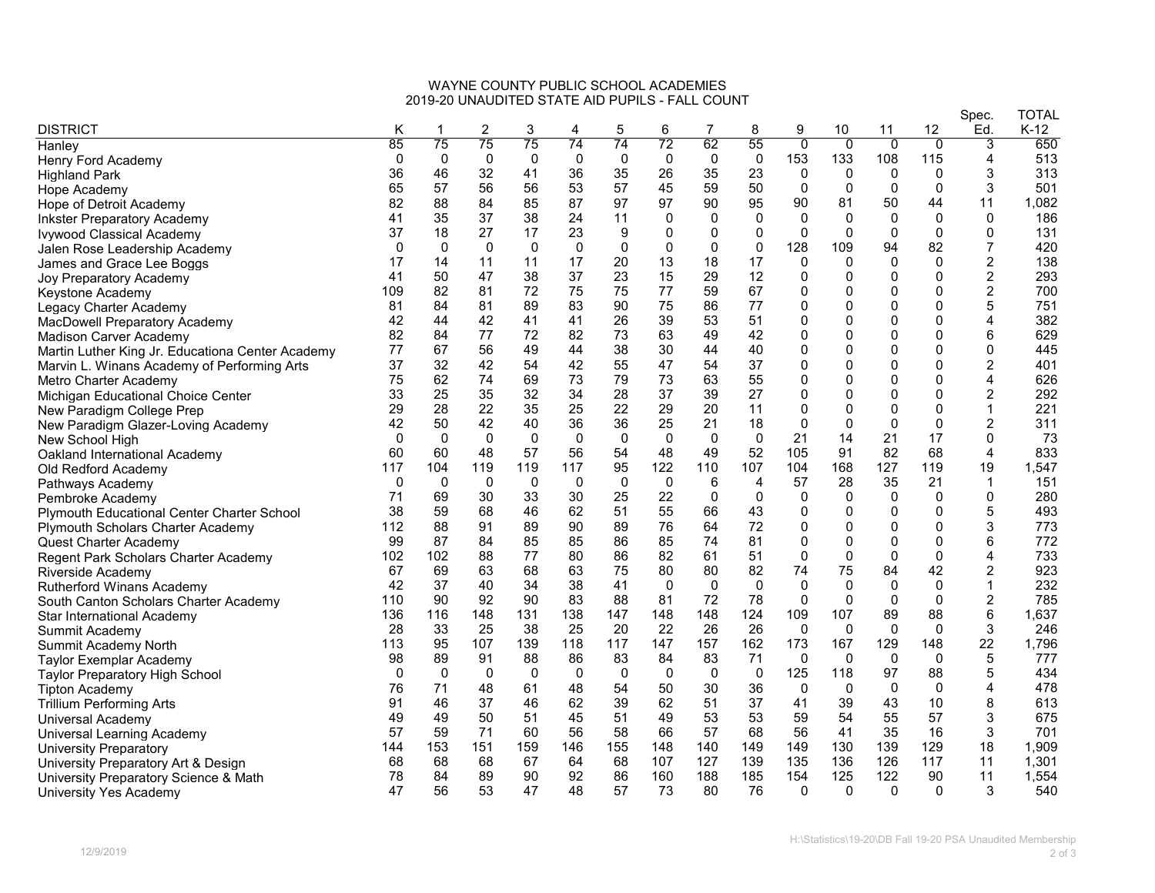## WAYNE COUNTY PUBLIC SCHOOL ACADEMIES 2019-20 UNAUDITED STATE AID PUPILS - FALL COUNT

|                                                   |          |             |             |             |              |              |             |             |                |                |          |                | Spec.        | <b>TOTAL</b>   |       |
|---------------------------------------------------|----------|-------------|-------------|-------------|--------------|--------------|-------------|-------------|----------------|----------------|----------|----------------|--------------|----------------|-------|
| <b>DISTRICT</b>                                   | Κ        |             | 2           | 3           | 4            | 5            | 6           | 7           | 8              | 9              | 10       | 11             | 12           | Ed.            | K-12  |
| Hanley                                            | 85       | 75          | 75          | 75          | 74           | 74           | 72          | 62          | 55             | $\overline{0}$ | 0        | $\overline{0}$ | $\Omega$     | 3              | 650   |
| Henry Ford Academy                                | $\Omega$ | $\mathbf 0$ | $\mathbf 0$ | 0           | $\mathbf 0$  | $\mathbf 0$  | $\Omega$    | $\mathbf 0$ | $\mathbf 0$    | 153            | 133      | 108            | 115          | 4              | 513   |
| Highland Park                                     | 36       | 46          | 32          | 41          | 36           | 35           | 26          | 35          | 23             | 0              | 0        | 0              | $\Omega$     | 3              | 313   |
| Hope Academy                                      | 65       | 57          | 56          | 56          | 53           | 57           | 45          | 59          | 50             | 0              | $\Omega$ | $\Omega$       | $\Omega$     | 3              | 501   |
| Hope of Detroit Academy                           | 82       | 88          | 84          | 85          | 87           | 97           | 97          | 90          | 95             | 90             | 81       | 50             | 44           | 11             | 1,082 |
| <b>Inkster Preparatory Academy</b>                | 41       | 35          | 37          | 38          | 24           | 11           | 0           | 0           | $\Omega$       | $\mathbf{0}$   | 0        | $\mathbf 0$    | $\Omega$     | 0              | 186   |
| Ivywood Classical Academy                         | 37       | 18          | 27          | 17          | 23           | 9            | $\Omega$    | $\Omega$    | $\mathbf{0}$   | $\mathbf{0}$   | $\Omega$ | $\Omega$       | $\Omega$     | $\Omega$       | 131   |
| Jalen Rose Leadership Academy                     | $\Omega$ | 0           | 0           | 0           | 0            | $\mathbf{0}$ | $\mathbf 0$ | $\Omega$    | 0              | 128            | 109      | 94             | 82           | 7              | 420   |
| James and Grace Lee Boggs                         | 17       | 14          | 11          | 11          | 17           | 20           | 13          | 18          | 17             | 0              | 0        | 0              | $\mathbf 0$  | $\overline{c}$ | 138   |
| Joy Preparatory Academy                           | 41       | 50          | 47          | 38          | 37           | 23           | 15          | 29          | 12             | $\mathbf 0$    | $\Omega$ | $\mathbf{0}$   | $\mathbf 0$  | 2              | 293   |
| Keystone Academy                                  | 109      | 82          | 81          | 72          | 75           | 75           | 77          | 59          | 67             | 0              | 0        | 0              | 0            | 2              | 700   |
| Legacy Charter Academy                            | 81       | 84          | 81          | 89          | 83           | 90           | 75          | 86          | 77             | $\Omega$       |          | $\Omega$       | $\mathbf{0}$ | 5              | 751   |
| MacDowell Preparatory Academy                     | 42       | 44          | 42          | 41          | 41           | 26           | 39          | 53          | 51             | $\Omega$       |          | $\mathbf{0}$   | $\mathbf{0}$ | 4              | 382   |
| <b>Madison Carver Academy</b>                     | 82       | 84          | 77          | 72          | 82           | 73           | 63          | 49          | 42             | $\mathbf 0$    |          | 0              | 0            | 6              | 629   |
| Martin Luther King Jr. Educationa Center Academy  | 77       | 67          | 56          | 49          | 44           | 38           | 30          | 44          | 40             | $\mathbf 0$    | $\Omega$ | $\mathbf{0}$   | $\mathbf{0}$ | $\mathbf 0$    | 445   |
| Marvin L. Winans Academy of Performing Arts       | 37       | 32          | 42          | 54          | 42           | 55           | 47          | 54          | 37             | 0              | 0        | $\mathbf 0$    | $\mathbf 0$  | 2              | 401   |
| Metro Charter Academy                             | 75       | 62          | 74          | 69          | 73           | 79           | 73          | 63          | 55             | 0              | n        | $\mathbf 0$    | $\mathbf 0$  | 4              | 626   |
| Michigan Educational Choice Center                | 33       | 25          | 35          | 32          | 34           | 28           | 37          | 39          | 27             | $\mathbf 0$    | O        | $\Omega$       | $\mathbf{0}$ | 2              | 292   |
| New Paradigm College Prep                         | 29       | 28          | 22          | 35          | 25           | 22           | 29          | 20          | 11             | $\mathbf 0$    |          | $\mathbf 0$    | 0            | 1              | 221   |
| New Paradigm Glazer-Loving Academy                | 42       | 50          | 42          | 40          | 36           | 36           | 25          | 21          | 18             | $\mathbf{0}$   | $\Omega$ | $\Omega$       | $\mathbf{0}$ | 2              | 311   |
| New School High                                   | $\Omega$ | $\Omega$    | $\mathbf 0$ | $\mathbf 0$ | $\Omega$     | $\mathbf 0$  | $\Omega$    | $\mathbf 0$ | $\mathbf 0$    | 21             | 14       | 21             | 17           | $\mathbf 0$    | 73    |
| Oakland International Academy                     | 60       | 60          | 48          | 57          | 56           | 54           | 48          | 49          | 52             | 105            | 91       | 82             | 68           | 4              | 833   |
| Old Redford Academy                               | 117      | 104         | 119         | 119         | 117          | 95           | 122         | 110         | 107            | 104            | 168      | 127            | 119          | 19             | 1,547 |
| Pathways Academy                                  | 0        | 0           | 0           | 0           | $\mathbf{0}$ | 0            | $\mathbf 0$ | 6           | $\overline{4}$ | 57             | 28       | 35             | 21           | $\mathbf{1}$   | 151   |
| Pembroke Academy                                  | 71       | 69          | 30          | 33          | 30           | 25           | 22          | 0           | 0              | 0              | 0        | $\mathbf 0$    | $\Omega$     | $\mathbf 0$    | 280   |
| <b>Plymouth Educational Center Charter School</b> | 38       | 59          | 68          | 46          | 62           | 51           | 55          | 66          | 43             | $\mathbf 0$    | O        | 0              | $\mathbf{0}$ | 5              | 493   |
| <b>Plymouth Scholars Charter Academy</b>          | 112      | 88          | 91          | 89          | 90           | 89           | 76          | 64          | 72             | $\mathbf 0$    | O        | 0              | 0            | 3              | 773   |
| Quest Charter Academy                             | 99       | 87          | 84          | 85          | 85           | 86           | 85          | 74          | 81             | 0              | $\Omega$ | $\mathbf 0$    | $\mathbf{0}$ | 6              | 772   |
| Regent Park Scholars Charter Academy              | 102      | 102         | 88          | 77          | 80           | 86           | 82          | 61          | 51             | 0              | $\Omega$ | $\mathbf 0$    | 0            | 4              | 733   |
| Riverside Academy                                 | 67       | 69          | 63          | 68          | 63           | 75           | 80          | 80          | 82             | 74             | 75       | 84             | 42           | 2              | 923   |
| <b>Rutherford Winans Academy</b>                  | 42       | 37          | 40          | 34          | 38           | 41           | $\Omega$    | $\Omega$    | $\Omega$       | $\Omega$       | $\Omega$ | $\mathbf{0}$   | $\Omega$     | $\mathbf{1}$   | 232   |
| South Canton Scholars Charter Academy             | 110      | 90          | 92          | 90          | 83           | 88           | 81          | 72          | 78             | 0              | 0        | $\Omega$       | $\Omega$     | 2              | 785   |
| Star International Academy                        | 136      | 116         | 148         | 131         | 138          | 147          | 148         | 148         | 124            | 109            | 107      | 89             | 88           | $\,6$          | 1,637 |
| Summit Academy                                    | 28       | 33          | 25          | 38          | 25           | 20           | 22          | 26          | 26             | 0              | $\Omega$ | $\Omega$       | $\Omega$     | 3              | 246   |
| Summit Academy North                              | 113      | 95          | 107         | 139         | 118          | 117          | 147         | 157         | 162            | 173            | 167      | 129            | 148          | 22             | 1,796 |
| <b>Taylor Exemplar Academy</b>                    | 98       | 89          | 91          | 88          | 86           | 83           | 84          | 83          | 71             | 0              | $\Omega$ | $\Omega$       | $\Omega$     | 5              | 777   |
| <b>Taylor Preparatory High School</b>             | $\Omega$ | 0           | 0           | 0           | 0            | 0            | 0           | 0           | $\mathbf 0$    | 125            | 118      | 97             | 88           | 5              | 434   |
|                                                   | 76       | 71          | 48          | 61          | 48           | 54           | 50          | 30          | 36             | $\mathbf 0$    | 0        | $\mathbf 0$    | $\mathbf 0$  | 4              | 478   |
| Tipton Academy<br>Trillium Performing Arts        | 91       | 46          | 37          | 46          | 62           | 39           | 62          | 51          | 37             | 41             | 39       | 43             | 10           | 8              | 613   |
|                                                   | 49       | 49          | 50          | 51          | 45           | 51           | 49          | 53          | 53             | 59             | 54       | 55             | 57           | 3              | 675   |
| Universal Academy                                 | 57       | 59          | 71          | 60          | 56           | 58           | 66          | 57          | 68             | 56             | 41       | 35             | 16           | 3              | 701   |
| <b>Universal Learning Academy</b>                 | 144      | 153         | 151         | 159         | 146          | 155          | 148         | 140         | 149            | 149            | 130      | 139            | 129          | 18             | 1,909 |
| University Preparatory                            |          | 68          | 68          | 67          | 64           | 68           | 107         | 127         | 139            | 135            | 136      | 126            | 117          | 11             | 1,301 |
| University Preparatory Art & Design               | 68<br>78 | 84          | 89          | 90          | 92           | 86           | 160         | 188         | 185            | 154            | 125      | 122            | 90           | 11             | 1,554 |
| University Preparatory Science & Math             | 47       | 56          | 53          | 47          | 48           | 57           | 73          | 80          | 76             | $\Omega$       | $\Omega$ | $\mathbf{0}$   | $\Omega$     | 3              |       |
| University Yes Academy                            |          |             |             |             |              |              |             |             |                |                |          |                |              |                | 540   |